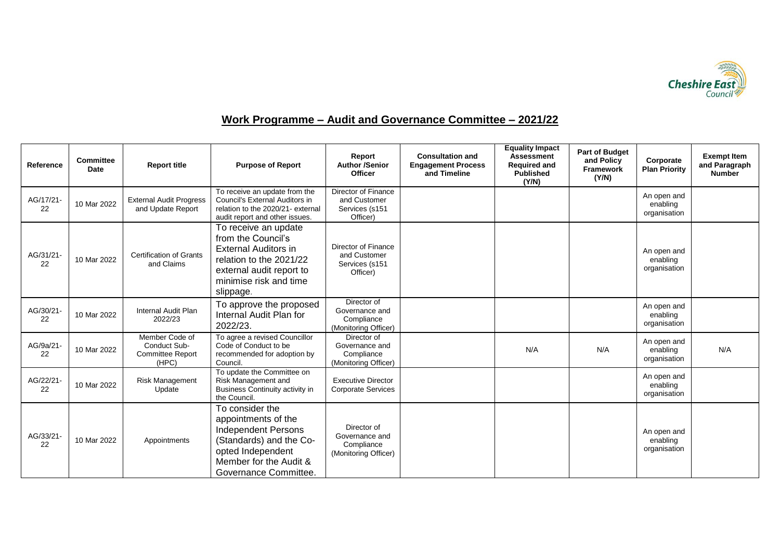

## **Work Programme – Audit and Governance Committee – 2021/22**

| Reference       | <b>Committee</b><br>Date | <b>Report title</b>                                                | <b>Purpose of Report</b>                                                                                                                                                      | Report<br><b>Author /Senior</b><br><b>Officer</b>                   | <b>Consultation and</b><br><b>Engagement Process</b><br>and Timeline | <b>Equality Impact</b><br><b>Assessment</b><br><b>Required and</b><br><b>Published</b><br>(Y/N) | <b>Part of Budget</b><br>and Policy<br><b>Framework</b><br>(Y/N) | Corporate<br><b>Plan Priority</b>       | <b>Exempt Item</b><br>and Paragraph<br><b>Number</b> |
|-----------------|--------------------------|--------------------------------------------------------------------|-------------------------------------------------------------------------------------------------------------------------------------------------------------------------------|---------------------------------------------------------------------|----------------------------------------------------------------------|-------------------------------------------------------------------------------------------------|------------------------------------------------------------------|-----------------------------------------|------------------------------------------------------|
| AG/17/21-<br>22 | 10 Mar 2022              | <b>External Audit Progress</b><br>and Update Report                | To receive an update from the<br>Council's External Auditors in<br>relation to the 2020/21- external<br>audit report and other issues.                                        | Director of Finance<br>and Customer<br>Services (s151<br>Officer)   |                                                                      |                                                                                                 |                                                                  | An open and<br>enabling<br>organisation |                                                      |
| AG/31/21-<br>22 | 10 Mar 2022              | <b>Certification of Grants</b><br>and Claims                       | To receive an update<br>from the Council's<br><b>External Auditors in</b><br>relation to the 2021/22<br>external audit report to<br>minimise risk and time<br>slippage.       | Director of Finance<br>and Customer<br>Services (s151<br>Officer)   |                                                                      |                                                                                                 |                                                                  | An open and<br>enabling<br>organisation |                                                      |
| AG/30/21-<br>22 | 10 Mar 2022              | <b>Internal Audit Plan</b><br>2022/23                              | To approve the proposed<br>Internal Audit Plan for<br>2022/23.                                                                                                                | Director of<br>Governance and<br>Compliance<br>(Monitoring Officer) |                                                                      |                                                                                                 |                                                                  | An open and<br>enabling<br>organisation |                                                      |
| AG/9a/21-<br>22 | 10 Mar 2022              | Member Code of<br>Conduct Sub-<br><b>Committee Report</b><br>(HPC) | To agree a revised Councillor<br>Code of Conduct to be<br>recommended for adoption by<br>Council.                                                                             | Director of<br>Governance and<br>Compliance<br>(Monitoring Officer) |                                                                      | N/A                                                                                             | N/A                                                              | An open and<br>enabling<br>organisation | N/A                                                  |
| AG/22/21-<br>22 | 10 Mar 2022              | <b>Risk Management</b><br>Update                                   | To update the Committee on<br>Risk Management and<br>Business Continuity activity in<br>the Council.                                                                          | <b>Executive Director</b><br><b>Corporate Services</b>              |                                                                      |                                                                                                 |                                                                  | An open and<br>enabling<br>organisation |                                                      |
| AG/33/21-<br>22 | 10 Mar 2022              | Appointments                                                       | To consider the<br>appointments of the<br><b>Independent Persons</b><br>(Standards) and the Co-<br>opted Independent<br>Member for the Audit &<br><b>Governance Committee</b> | Director of<br>Governance and<br>Compliance<br>(Monitoring Officer) |                                                                      |                                                                                                 |                                                                  | An open and<br>enabling<br>organisation |                                                      |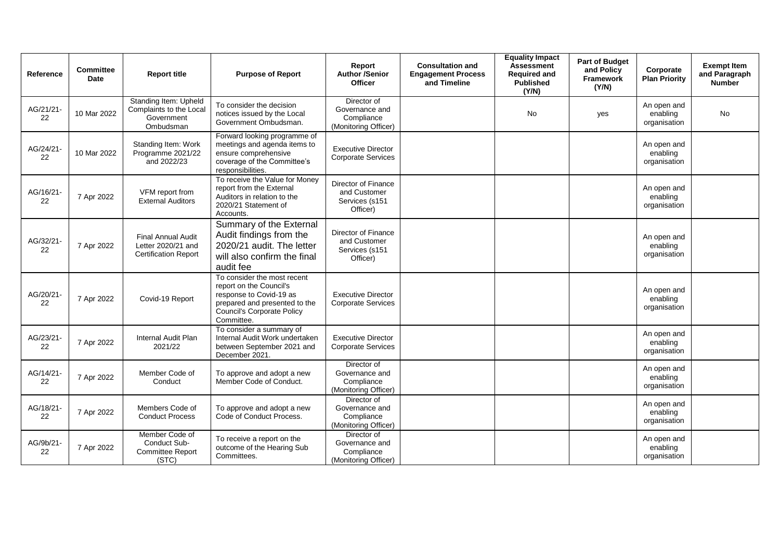| Reference       | <b>Committee</b><br><b>Date</b> | <b>Report title</b>                                                            | <b>Purpose of Report</b>                                                                                                                                              | Report<br><b>Author /Senior</b><br><b>Officer</b>                   | <b>Consultation and</b><br><b>Engagement Process</b><br>and Timeline | <b>Equality Impact</b><br><b>Assessment</b><br><b>Required and</b><br><b>Published</b><br>(Y/N) | <b>Part of Budget</b><br>and Policy<br>Framework<br>(Y/N) | Corporate<br><b>Plan Priority</b>       | <b>Exempt Item</b><br>and Paragraph<br><b>Number</b> |
|-----------------|---------------------------------|--------------------------------------------------------------------------------|-----------------------------------------------------------------------------------------------------------------------------------------------------------------------|---------------------------------------------------------------------|----------------------------------------------------------------------|-------------------------------------------------------------------------------------------------|-----------------------------------------------------------|-----------------------------------------|------------------------------------------------------|
| AG/21/21-<br>22 | 10 Mar 2022                     | Standing Item: Upheld<br>Complaints to the Local<br>Government<br>Ombudsman    | To consider the decision<br>notices issued by the Local<br>Government Ombudsman.                                                                                      | Director of<br>Governance and<br>Compliance<br>(Monitoring Officer) |                                                                      | No                                                                                              | yes                                                       | An open and<br>enabling<br>organisation | <b>No</b>                                            |
| AG/24/21-<br>22 | 10 Mar 2022                     | Standing Item: Work<br>Programme 2021/22<br>and 2022/23                        | Forward looking programme of<br>meetings and agenda items to<br>ensure comprehensive<br>coverage of the Committee's<br>responsibilities.                              | <b>Executive Director</b><br><b>Corporate Services</b>              |                                                                      |                                                                                                 |                                                           | An open and<br>enabling<br>organisation |                                                      |
| AG/16/21-<br>22 | 7 Apr 2022                      | VFM report from<br><b>External Auditors</b>                                    | To receive the Value for Money<br>report from the External<br>Auditors in relation to the<br>2020/21 Statement of<br>Accounts.                                        | Director of Finance<br>and Customer<br>Services (s151<br>Officer)   |                                                                      |                                                                                                 |                                                           | An open and<br>enabling<br>organisation |                                                      |
| AG/32/21-<br>22 | 7 Apr 2022                      | <b>Final Annual Audit</b><br>Letter 2020/21 and<br><b>Certification Report</b> | Summary of the External<br>Audit findings from the<br>2020/21 audit. The letter<br>will also confirm the final<br>audit fee                                           | Director of Finance<br>and Customer<br>Services (s151<br>Officer)   |                                                                      |                                                                                                 |                                                           | An open and<br>enabling<br>organisation |                                                      |
| AG/20/21-<br>22 | 7 Apr 2022                      | Covid-19 Report                                                                | To consider the most recent<br>report on the Council's<br>response to Covid-19 as<br>prepared and presented to the<br><b>Council's Corporate Policy</b><br>Committee. | <b>Executive Director</b><br><b>Corporate Services</b>              |                                                                      |                                                                                                 |                                                           | An open and<br>enabling<br>organisation |                                                      |
| AG/23/21-<br>22 | 7 Apr 2022                      | <b>Internal Audit Plan</b><br>2021/22                                          | To consider a summary of<br>Internal Audit Work undertaken<br>between September 2021 and<br>December 2021.                                                            | <b>Executive Director</b><br><b>Corporate Services</b>              |                                                                      |                                                                                                 |                                                           | An open and<br>enabling<br>organisation |                                                      |
| AG/14/21-<br>22 | 7 Apr 2022                      | Member Code of<br>Conduct                                                      | To approve and adopt a new<br>Member Code of Conduct.                                                                                                                 | Director of<br>Governance and<br>Compliance<br>(Monitoring Officer) |                                                                      |                                                                                                 |                                                           | An open and<br>enabling<br>organisation |                                                      |
| AG/18/21-<br>22 | 7 Apr 2022                      | Members Code of<br><b>Conduct Process</b>                                      | To approve and adopt a new<br>Code of Conduct Process.                                                                                                                | Director of<br>Governance and<br>Compliance<br>(Monitoring Officer) |                                                                      |                                                                                                 |                                                           | An open and<br>enabling<br>organisation |                                                      |
| AG/9b/21-<br>22 | 7 Apr 2022                      | Member Code of<br>Conduct Sub-<br><b>Committee Report</b><br>(STC)             | To receive a report on the<br>outcome of the Hearing Sub<br>Committees.                                                                                               | Director of<br>Governance and<br>Compliance<br>(Monitoring Officer) |                                                                      |                                                                                                 |                                                           | An open and<br>enabling<br>organisation |                                                      |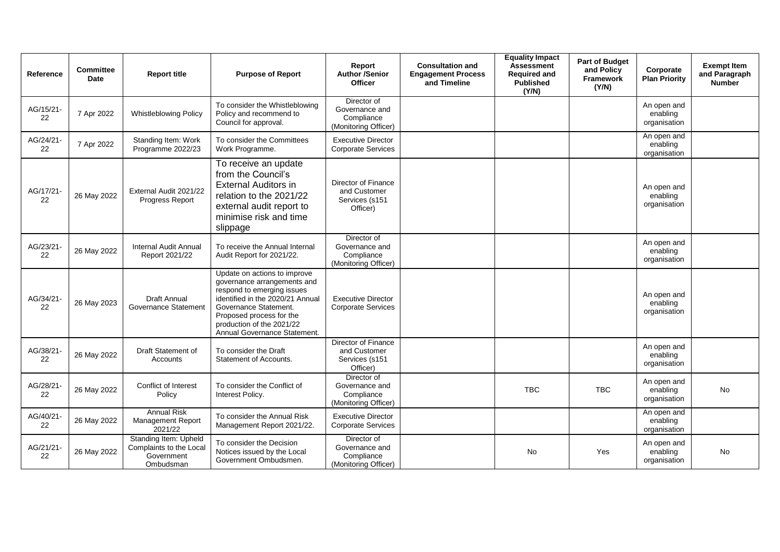| Reference       | <b>Committee</b><br>Date | <b>Report title</b>                                                         | <b>Purpose of Report</b>                                                                                                                                                                                                                        | Report<br><b>Author /Senior</b><br><b>Officer</b>                   | <b>Consultation and</b><br><b>Engagement Process</b><br>and Timeline | <b>Equality Impact</b><br><b>Assessment</b><br><b>Required and</b><br><b>Published</b><br>(Y/N) | <b>Part of Budget</b><br>and Policy<br>Framework<br>(Y/N) | Corporate<br><b>Plan Priority</b>       | <b>Exempt Item</b><br>and Paragraph<br><b>Number</b> |
|-----------------|--------------------------|-----------------------------------------------------------------------------|-------------------------------------------------------------------------------------------------------------------------------------------------------------------------------------------------------------------------------------------------|---------------------------------------------------------------------|----------------------------------------------------------------------|-------------------------------------------------------------------------------------------------|-----------------------------------------------------------|-----------------------------------------|------------------------------------------------------|
| AG/15/21-<br>22 | 7 Apr 2022               | <b>Whistleblowing Policy</b>                                                | To consider the Whistleblowing<br>Policy and recommend to<br>Council for approval.                                                                                                                                                              | Director of<br>Governance and<br>Compliance<br>(Monitoring Officer) |                                                                      |                                                                                                 |                                                           | An open and<br>enabling<br>organisation |                                                      |
| AG/24/21-<br>22 | 7 Apr 2022               | Standing Item: Work<br>Programme 2022/23                                    | To consider the Committees<br>Work Programme.                                                                                                                                                                                                   | <b>Executive Director</b><br><b>Corporate Services</b>              |                                                                      |                                                                                                 |                                                           | An open and<br>enabling<br>organisation |                                                      |
| AG/17/21-<br>22 | 26 May 2022              | External Audit 2021/22<br>Progress Report                                   | To receive an update<br>from the Council's<br><b>External Auditors in</b><br>relation to the 2021/22<br>external audit report to<br>minimise risk and time<br>slippage                                                                          | Director of Finance<br>and Customer<br>Services (s151<br>Officer)   |                                                                      |                                                                                                 |                                                           | An open and<br>enabling<br>organisation |                                                      |
| AG/23/21-<br>22 | 26 May 2022              | <b>Internal Audit Annual</b><br>Report 2021/22                              | To receive the Annual Internal<br>Audit Report for 2021/22.                                                                                                                                                                                     | Director of<br>Governance and<br>Compliance<br>(Monitoring Officer) |                                                                      |                                                                                                 |                                                           | An open and<br>enabling<br>organisation |                                                      |
| AG/34/21-<br>22 | 26 May 2023              | Draft Annual<br>Governance Statement                                        | Update on actions to improve<br>governance arrangements and<br>respond to emerging issues<br>identified in the 2020/21 Annual<br>Governance Statement.<br>Proposed process for the<br>production of the 2021/22<br>Annual Governance Statement. | <b>Executive Director</b><br><b>Corporate Services</b>              |                                                                      |                                                                                                 |                                                           | An open and<br>enabling<br>organisation |                                                      |
| AG/38/21-<br>22 | 26 May 2022              | Draft Statement of<br>Accounts                                              | To consider the Draft<br>Statement of Accounts.                                                                                                                                                                                                 | Director of Finance<br>and Customer<br>Services (s151<br>Officer)   |                                                                      |                                                                                                 |                                                           | An open and<br>enabling<br>organisation |                                                      |
| AG/28/21-<br>22 | 26 May 2022              | Conflict of Interest<br>Policy                                              | To consider the Conflict of<br>Interest Policy.                                                                                                                                                                                                 | Director of<br>Governance and<br>Compliance<br>(Monitoring Officer) |                                                                      | <b>TBC</b>                                                                                      | <b>TBC</b>                                                | An open and<br>enabling<br>organisation | No                                                   |
| AG/40/21-<br>22 | 26 May 2022              | <b>Annual Risk</b><br><b>Management Report</b><br>2021/22                   | To consider the Annual Risk<br>Management Report 2021/22.                                                                                                                                                                                       | <b>Executive Director</b><br><b>Corporate Services</b>              |                                                                      |                                                                                                 |                                                           | An open and<br>enabling<br>organisation |                                                      |
| AG/21/21-<br>22 | 26 May 2022              | Standing Item: Upheld<br>Complaints to the Local<br>Government<br>Ombudsman | To consider the Decision<br>Notices issued by the Local<br>Government Ombudsmen.                                                                                                                                                                | Director of<br>Governance and<br>Compliance<br>(Monitoring Officer) |                                                                      | <b>No</b>                                                                                       | Yes                                                       | An open and<br>enabling<br>organisation | No                                                   |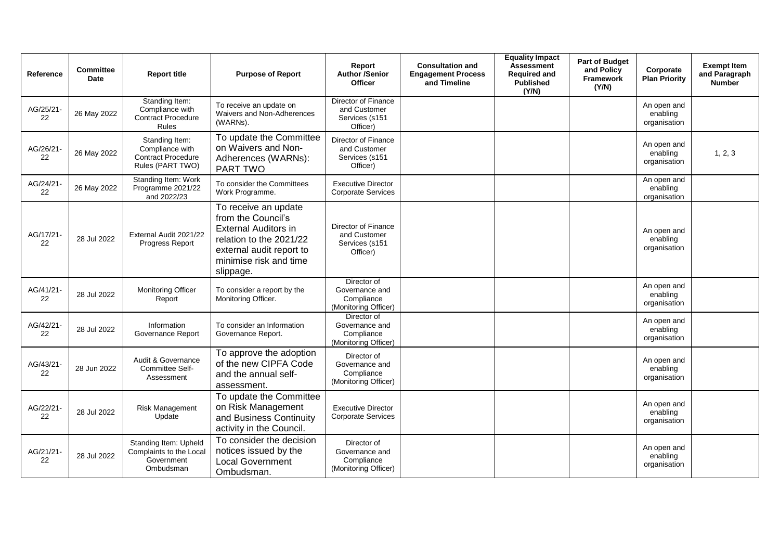| Reference       | <b>Committee</b><br><b>Date</b> | <b>Report title</b>                                                                | <b>Purpose of Report</b>                                                                                                                                                | Report<br><b>Author /Senior</b><br><b>Officer</b>                   | <b>Consultation and</b><br><b>Engagement Process</b><br>and Timeline | <b>Equality Impact</b><br><b>Assessment</b><br><b>Required and</b><br><b>Published</b><br>(Y/N) | Part of Budget<br>and Policy<br><b>Framework</b><br>(Y/N) | Corporate<br><b>Plan Priority</b>       | <b>Exempt Item</b><br>and Paragraph<br><b>Number</b> |
|-----------------|---------------------------------|------------------------------------------------------------------------------------|-------------------------------------------------------------------------------------------------------------------------------------------------------------------------|---------------------------------------------------------------------|----------------------------------------------------------------------|-------------------------------------------------------------------------------------------------|-----------------------------------------------------------|-----------------------------------------|------------------------------------------------------|
| AG/25/21-<br>22 | 26 May 2022                     | Standing Item:<br>Compliance with<br><b>Contract Procedure</b><br>Rules            | To receive an update on<br>Waivers and Non-Adherences<br>(WARNs).                                                                                                       | Director of Finance<br>and Customer<br>Services (s151<br>Officer)   |                                                                      |                                                                                                 |                                                           | An open and<br>enabling<br>organisation |                                                      |
| AG/26/21-<br>22 | 26 May 2022                     | Standing Item:<br>Compliance with<br><b>Contract Procedure</b><br>Rules (PART TWO) | To update the Committee<br>on Waivers and Non-<br>Adherences (WARNs):<br><b>PART TWO</b>                                                                                | Director of Finance<br>and Customer<br>Services (s151<br>Officer)   |                                                                      |                                                                                                 |                                                           | An open and<br>enabling<br>organisation | 1, 2, 3                                              |
| AG/24/21-<br>22 | 26 May 2022                     | Standing Item: Work<br>Programme 2021/22<br>and 2022/23                            | To consider the Committees<br>Work Programme.                                                                                                                           | <b>Executive Director</b><br><b>Corporate Services</b>              |                                                                      |                                                                                                 |                                                           | An open and<br>enabling<br>organisation |                                                      |
| AG/17/21-<br>22 | 28 Jul 2022                     | External Audit 2021/22<br>Progress Report                                          | To receive an update<br>from the Council's<br><b>External Auditors in</b><br>relation to the 2021/22<br>external audit report to<br>minimise risk and time<br>slippage. | Director of Finance<br>and Customer<br>Services (s151<br>Officer)   |                                                                      |                                                                                                 |                                                           | An open and<br>enabling<br>organisation |                                                      |
| AG/41/21-<br>22 | 28 Jul 2022                     | Monitoring Officer<br>Report                                                       | To consider a report by the<br>Monitoring Officer.                                                                                                                      | Director of<br>Governance and<br>Compliance<br>(Monitoring Officer) |                                                                      |                                                                                                 |                                                           | An open and<br>enabling<br>organisation |                                                      |
| AG/42/21-<br>22 | 28 Jul 2022                     | Information<br>Governance Report                                                   | To consider an Information<br>Governance Report.                                                                                                                        | Director of<br>Governance and<br>Compliance<br>(Monitoring Officer) |                                                                      |                                                                                                 |                                                           | An open and<br>enabling<br>organisation |                                                      |
| AG/43/21-<br>22 | 28 Jun 2022                     | Audit & Governance<br>Committee Self-<br>Assessment                                | To approve the adoption<br>of the new CIPFA Code<br>and the annual self-<br>assessment.                                                                                 | Director of<br>Governance and<br>Compliance<br>(Monitoring Officer) |                                                                      |                                                                                                 |                                                           | An open and<br>enabling<br>organisation |                                                      |
| AG/22/21-<br>22 | 28 Jul 2022                     | <b>Risk Management</b><br>Update                                                   | To update the Committee<br>on Risk Management<br>and Business Continuity<br>activity in the Council.                                                                    | <b>Executive Director</b><br><b>Corporate Services</b>              |                                                                      |                                                                                                 |                                                           | An open and<br>enabling<br>organisation |                                                      |
| AG/21/21-<br>22 | 28 Jul 2022                     | Standing Item: Upheld<br>Complaints to the Local<br>Government<br>Ombudsman        | To consider the decision<br>notices issued by the<br><b>Local Government</b><br>Ombudsman.                                                                              | Director of<br>Governance and<br>Compliance<br>(Monitoring Officer) |                                                                      |                                                                                                 |                                                           | An open and<br>enabling<br>organisation |                                                      |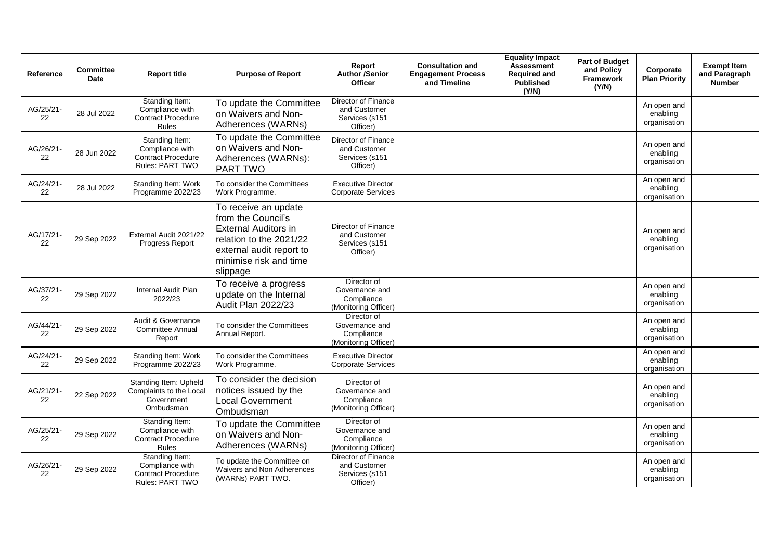| Reference       | <b>Committee</b><br>Date | <b>Report title</b>                                                               | <b>Purpose of Report</b>                                                                                                                                               | Report<br><b>Author /Senior</b><br><b>Officer</b>                   | <b>Consultation and</b><br><b>Engagement Process</b><br>and Timeline | <b>Equality Impact</b><br><b>Assessment</b><br><b>Required and</b><br><b>Published</b><br>(Y/N) | <b>Part of Budget</b><br>and Policy<br><b>Framework</b><br>(Y/N) | Corporate<br><b>Plan Priority</b>       | <b>Exempt Item</b><br>and Paragraph<br><b>Number</b> |
|-----------------|--------------------------|-----------------------------------------------------------------------------------|------------------------------------------------------------------------------------------------------------------------------------------------------------------------|---------------------------------------------------------------------|----------------------------------------------------------------------|-------------------------------------------------------------------------------------------------|------------------------------------------------------------------|-----------------------------------------|------------------------------------------------------|
| AG/25/21-<br>22 | 28 Jul 2022              | Standing Item:<br>Compliance with<br>Contract Procedure<br><b>Rules</b>           | To update the Committee<br>on Waivers and Non-<br>Adherences (WARNs)                                                                                                   | Director of Finance<br>and Customer<br>Services (s151<br>Officer)   |                                                                      |                                                                                                 |                                                                  | An open and<br>enabling<br>organisation |                                                      |
| AG/26/21-<br>22 | 28 Jun 2022              | Standing Item:<br>Compliance with<br><b>Contract Procedure</b><br>Rules: PART TWO | To update the Committee<br>on Waivers and Non-<br>Adherences (WARNs):<br>PART TWO                                                                                      | Director of Finance<br>and Customer<br>Services (s151<br>Officer)   |                                                                      |                                                                                                 |                                                                  | An open and<br>enabling<br>organisation |                                                      |
| AG/24/21-<br>22 | 28 Jul 2022              | Standing Item: Work<br>Programme 2022/23                                          | To consider the Committees<br>Work Programme.                                                                                                                          | <b>Executive Director</b><br><b>Corporate Services</b>              |                                                                      |                                                                                                 |                                                                  | An open and<br>enabling<br>organisation |                                                      |
| AG/17/21-<br>22 | 29 Sep 2022              | External Audit 2021/22<br>Progress Report                                         | To receive an update<br>from the Council's<br><b>External Auditors in</b><br>relation to the 2021/22<br>external audit report to<br>minimise risk and time<br>slippage | Director of Finance<br>and Customer<br>Services (s151<br>Officer)   |                                                                      |                                                                                                 |                                                                  | An open and<br>enabling<br>organisation |                                                      |
| AG/37/21-<br>22 | 29 Sep 2022              | Internal Audit Plan<br>2022/23                                                    | To receive a progress<br>update on the Internal<br>Audit Plan 2022/23                                                                                                  | Director of<br>Governance and<br>Compliance<br>(Monitoring Officer) |                                                                      |                                                                                                 |                                                                  | An open and<br>enabling<br>organisation |                                                      |
| AG/44/21-<br>22 | 29 Sep 2022              | Audit & Governance<br><b>Committee Annual</b><br>Report                           | To consider the Committees<br>Annual Report.                                                                                                                           | Director of<br>Governance and<br>Compliance<br>(Monitoring Officer) |                                                                      |                                                                                                 |                                                                  | An open and<br>enabling<br>organisation |                                                      |
| AG/24/21-<br>22 | 29 Sep 2022              | Standing Item: Work<br>Programme 2022/23                                          | To consider the Committees<br>Work Programme.                                                                                                                          | <b>Executive Director</b><br><b>Corporate Services</b>              |                                                                      |                                                                                                 |                                                                  | An open and<br>enabling<br>organisation |                                                      |
| AG/21/21-<br>22 | 22 Sep 2022              | Standing Item: Upheld<br>Complaints to the Local<br>Government<br>Ombudsman       | To consider the decision<br>notices issued by the<br><b>Local Government</b><br>Ombudsman                                                                              | Director of<br>Governance and<br>Compliance<br>(Monitoring Officer) |                                                                      |                                                                                                 |                                                                  | An open and<br>enabling<br>organisation |                                                      |
| AG/25/21-<br>22 | 29 Sep 2022              | Standing Item:<br>Compliance with<br><b>Contract Procedure</b><br>Rules           | To update the Committee<br>on Waivers and Non-<br>Adherences (WARNs)                                                                                                   | Director of<br>Governance and<br>Compliance<br>(Monitoring Officer) |                                                                      |                                                                                                 |                                                                  | An open and<br>enabling<br>organisation |                                                      |
| AG/26/21-<br>22 | 29 Sep 2022              | Standing Item:<br>Compliance with<br><b>Contract Procedure</b><br>Rules: PART TWO | To update the Committee on<br><b>Waivers and Non Adherences</b><br>(WARNs) PART TWO.                                                                                   | Director of Finance<br>and Customer<br>Services (s151<br>Officer)   |                                                                      |                                                                                                 |                                                                  | An open and<br>enabling<br>organisation |                                                      |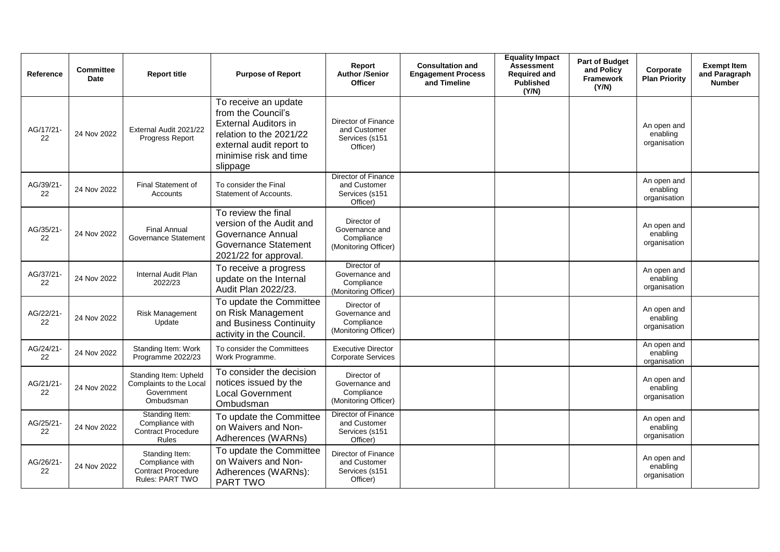| Reference       | <b>Committee</b><br><b>Date</b> | <b>Report title</b>                                                               | <b>Purpose of Report</b>                                                                                                                                               | Report<br><b>Author /Senior</b><br><b>Officer</b>                   | <b>Consultation and</b><br><b>Engagement Process</b><br>and Timeline | <b>Equality Impact</b><br><b>Assessment</b><br><b>Required and</b><br><b>Published</b><br>(Y/N) | <b>Part of Budget</b><br>and Policy<br>Framework<br>(Y/N) | Corporate<br><b>Plan Priority</b>       | <b>Exempt Item</b><br>and Paragraph<br><b>Number</b> |
|-----------------|---------------------------------|-----------------------------------------------------------------------------------|------------------------------------------------------------------------------------------------------------------------------------------------------------------------|---------------------------------------------------------------------|----------------------------------------------------------------------|-------------------------------------------------------------------------------------------------|-----------------------------------------------------------|-----------------------------------------|------------------------------------------------------|
| AG/17/21-<br>22 | 24 Nov 2022                     | External Audit 2021/22<br>Progress Report                                         | To receive an update<br>from the Council's<br><b>External Auditors in</b><br>relation to the 2021/22<br>external audit report to<br>minimise risk and time<br>slippage | Director of Finance<br>and Customer<br>Services (s151<br>Officer)   |                                                                      |                                                                                                 |                                                           | An open and<br>enabling<br>organisation |                                                      |
| AG/39/21-<br>22 | 24 Nov 2022                     | <b>Final Statement of</b><br>Accounts                                             | To consider the Final<br>Statement of Accounts.                                                                                                                        | Director of Finance<br>and Customer<br>Services (s151<br>Officer)   |                                                                      |                                                                                                 |                                                           | An open and<br>enabling<br>organisation |                                                      |
| AG/35/21-<br>22 | 24 Nov 2022                     | <b>Final Annual</b><br>Governance Statement                                       | To review the final<br>version of the Audit and<br>Governance Annual<br><b>Governance Statement</b><br>2021/22 for approval.                                           | Director of<br>Governance and<br>Compliance<br>(Monitoring Officer) |                                                                      |                                                                                                 |                                                           | An open and<br>enabling<br>organisation |                                                      |
| AG/37/21-<br>22 | 24 Nov 2022                     | Internal Audit Plan<br>2022/23                                                    | To receive a progress<br>update on the Internal<br>Audit Plan 2022/23.                                                                                                 | Director of<br>Governance and<br>Compliance<br>(Monitoring Officer) |                                                                      |                                                                                                 |                                                           | An open and<br>enabling<br>organisation |                                                      |
| AG/22/21-<br>22 | 24 Nov 2022                     | <b>Risk Management</b><br>Update                                                  | To update the Committee<br>on Risk Management<br>and Business Continuity<br>activity in the Council.                                                                   | Director of<br>Governance and<br>Compliance<br>(Monitoring Officer) |                                                                      |                                                                                                 |                                                           | An open and<br>enabling<br>organisation |                                                      |
| AG/24/21-<br>22 | 24 Nov 2022                     | Standing Item: Work<br>Programme 2022/23                                          | To consider the Committees<br>Work Programme.                                                                                                                          | <b>Executive Director</b><br><b>Corporate Services</b>              |                                                                      |                                                                                                 |                                                           | An open and<br>enabling<br>organisation |                                                      |
| AG/21/21-<br>22 | 24 Nov 2022                     | Standing Item: Upheld<br>Complaints to the Local<br>Government<br>Ombudsman       | To consider the decision<br>notices issued by the<br><b>Local Government</b><br>Ombudsman                                                                              | Director of<br>Governance and<br>Compliance<br>(Monitoring Officer) |                                                                      |                                                                                                 |                                                           | An open and<br>enabling<br>organisation |                                                      |
| AG/25/21-<br>22 | 24 Nov 2022                     | Standing Item:<br>Compliance with<br><b>Contract Procedure</b><br>Rules           | To update the Committee<br>on Waivers and Non-<br>Adherences (WARNs)                                                                                                   | Director of Finance<br>and Customer<br>Services (s151<br>Officer)   |                                                                      |                                                                                                 |                                                           | An open and<br>enabling<br>organisation |                                                      |
| AG/26/21-<br>22 | 24 Nov 2022                     | Standing Item:<br>Compliance with<br><b>Contract Procedure</b><br>Rules: PART TWO | To update the Committee<br>on Waivers and Non-<br>Adherences (WARNs):<br>PART TWO                                                                                      | Director of Finance<br>and Customer<br>Services (s151<br>Officer)   |                                                                      |                                                                                                 |                                                           | An open and<br>enabling<br>organisation |                                                      |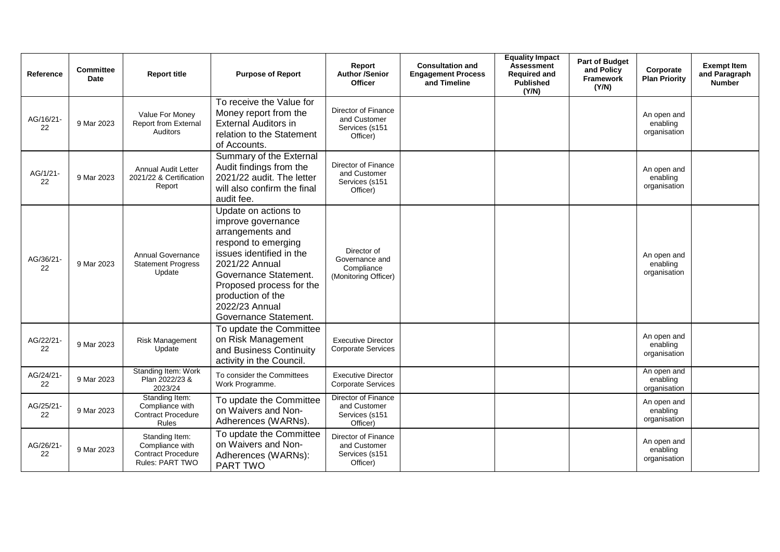| Reference       | <b>Committee</b><br><b>Date</b> | <b>Report title</b>                                                               | <b>Purpose of Report</b>                                                                                                                                                                                                                                 | Report<br><b>Author /Senior</b><br><b>Officer</b>                   | <b>Consultation and</b><br><b>Engagement Process</b><br>and Timeline | <b>Equality Impact</b><br><b>Assessment</b><br><b>Required and</b><br><b>Published</b><br>(Y/N) | Part of Budget<br>and Policy<br>Framework<br>(Y/N) | Corporate<br><b>Plan Priority</b>       | <b>Exempt Item</b><br>and Paragraph<br><b>Number</b> |
|-----------------|---------------------------------|-----------------------------------------------------------------------------------|----------------------------------------------------------------------------------------------------------------------------------------------------------------------------------------------------------------------------------------------------------|---------------------------------------------------------------------|----------------------------------------------------------------------|-------------------------------------------------------------------------------------------------|----------------------------------------------------|-----------------------------------------|------------------------------------------------------|
| AG/16/21-<br>22 | 9 Mar 2023                      | Value For Money<br>Report from External<br><b>Auditors</b>                        | To receive the Value for<br>Money report from the<br><b>External Auditors in</b><br>relation to the Statement<br>of Accounts.                                                                                                                            | Director of Finance<br>and Customer<br>Services (s151<br>Officer)   |                                                                      |                                                                                                 |                                                    | An open and<br>enabling<br>organisation |                                                      |
| AG/1/21-<br>22  | 9 Mar 2023                      | <b>Annual Audit Letter</b><br>2021/22 & Certification<br>Report                   | Summary of the External<br>Audit findings from the<br>2021/22 audit. The letter<br>will also confirm the final<br>audit fee.                                                                                                                             | Director of Finance<br>and Customer<br>Services (s151<br>Officer)   |                                                                      |                                                                                                 |                                                    | An open and<br>enabling<br>organisation |                                                      |
| AG/36/21-<br>22 | 9 Mar 2023                      | <b>Annual Governance</b><br><b>Statement Progress</b><br>Update                   | Update on actions to<br>improve governance<br>arrangements and<br>respond to emerging<br>issues identified in the<br>2021/22 Annual<br>Governance Statement.<br>Proposed process for the<br>production of the<br>2022/23 Annual<br>Governance Statement. | Director of<br>Governance and<br>Compliance<br>(Monitoring Officer) |                                                                      |                                                                                                 |                                                    | An open and<br>enabling<br>organisation |                                                      |
| AG/22/21-<br>22 | 9 Mar 2023                      | <b>Risk Management</b><br>Update                                                  | To update the Committee<br>on Risk Management<br>and Business Continuity<br>activity in the Council.                                                                                                                                                     | <b>Executive Director</b><br><b>Corporate Services</b>              |                                                                      |                                                                                                 |                                                    | An open and<br>enabling<br>organisation |                                                      |
| AG/24/21-<br>22 | 9 Mar 2023                      | Standing Item: Work<br>Plan 2022/23 &<br>2023/24                                  | To consider the Committees<br>Work Programme.                                                                                                                                                                                                            | <b>Executive Director</b><br><b>Corporate Services</b>              |                                                                      |                                                                                                 |                                                    | An open and<br>enabling<br>organisation |                                                      |
| AG/25/21-<br>22 | 9 Mar 2023                      | Standing Item:<br>Compliance with<br><b>Contract Procedure</b><br><b>Rules</b>    | To update the Committee<br>on Waivers and Non-<br>Adherences (WARNs).                                                                                                                                                                                    | Director of Finance<br>and Customer<br>Services (s151<br>Officer)   |                                                                      |                                                                                                 |                                                    | An open and<br>enabling<br>organisation |                                                      |
| AG/26/21-<br>22 | 9 Mar 2023                      | Standing Item:<br>Compliance with<br><b>Contract Procedure</b><br>Rules: PART TWO | To update the Committee<br>on Waivers and Non-<br>Adherences (WARNs):<br>PART TWO                                                                                                                                                                        | Director of Finance<br>and Customer<br>Services (s151<br>Officer)   |                                                                      |                                                                                                 |                                                    | An open and<br>enabling<br>organisation |                                                      |